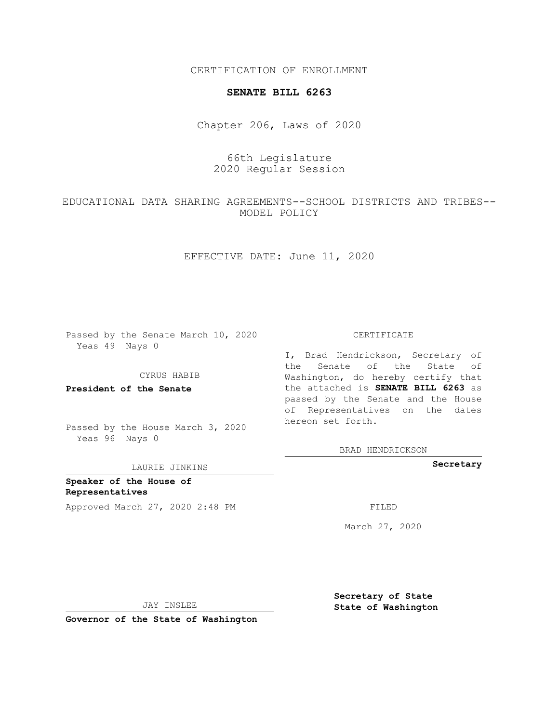CERTIFICATION OF ENROLLMENT

## **SENATE BILL 6263**

Chapter 206, Laws of 2020

66th Legislature 2020 Regular Session

EDUCATIONAL DATA SHARING AGREEMENTS--SCHOOL DISTRICTS AND TRIBES-- MODEL POLICY

EFFECTIVE DATE: June 11, 2020

Passed by the Senate March 10, 2020 Yeas 49 Nays 0

CYRUS HABIB

**President of the Senate**

Passed by the House March 3, 2020 Yeas 96 Nays 0

LAURIE JINKINS

**Speaker of the House of Representatives** Approved March 27, 2020 2:48 PM

## CERTIFICATE

I, Brad Hendrickson, Secretary of the Senate of the State of Washington, do hereby certify that the attached is **SENATE BILL 6263** as passed by the Senate and the House of Representatives on the dates hereon set forth.

BRAD HENDRICKSON

**Secretary**

March 27, 2020

JAY INSLEE

**Secretary of State State of Washington**

**Governor of the State of Washington**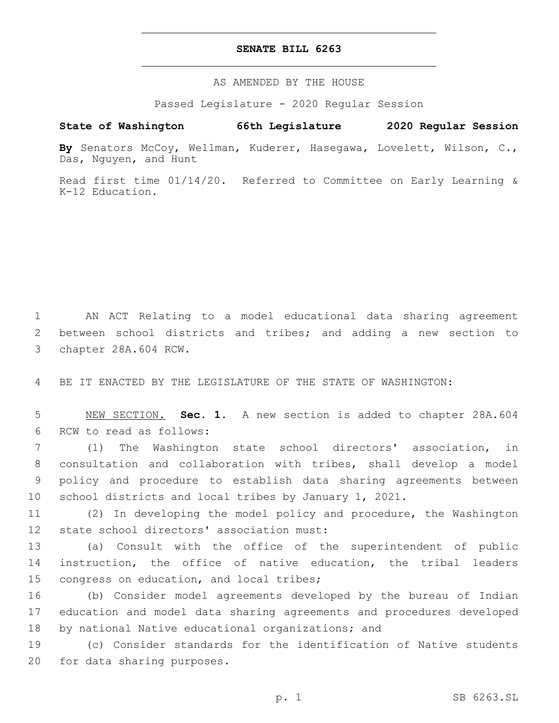## **SENATE BILL 6263**

AS AMENDED BY THE HOUSE

Passed Legislature - 2020 Regular Session

## **State of Washington 66th Legislature 2020 Regular Session**

**By** Senators McCoy, Wellman, Kuderer, Hasegawa, Lovelett, Wilson, C., Das, Nguyen, and Hunt

Read first time 01/14/20. Referred to Committee on Early Learning & K-12 Education.

1 AN ACT Relating to a model educational data sharing agreement 2 between school districts and tribes; and adding a new section to 3 chapter 28A.604 RCW.

4 BE IT ENACTED BY THE LEGISLATURE OF THE STATE OF WASHINGTON:

5 NEW SECTION. **Sec. 1.** A new section is added to chapter 28A.604 6 RCW to read as follows:

 (1) The Washington state school directors' association, in consultation and collaboration with tribes, shall develop a model policy and procedure to establish data sharing agreements between school districts and local tribes by January 1, 2021.

11 (2) In developing the model policy and procedure, the Washington 12 state school directors' association must:

13 (a) Consult with the office of the superintendent of public 14 instruction, the office of native education, the tribal leaders 15 congress on education, and local tribes;

16 (b) Consider model agreements developed by the bureau of Indian 17 education and model data sharing agreements and procedures developed 18 by national Native educational organizations; and

19 (c) Consider standards for the identification of Native students 20 for data sharing purposes.